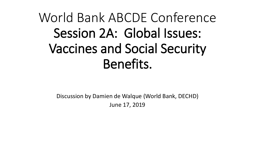# World Bank ABCDE Conference Session 2A: Global Issues: Vaccines and Social Security Benefits.

Discussion by Damien de Walque (World Bank, DECHD) June 17, 2019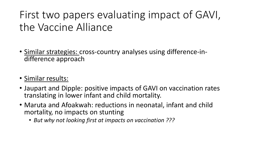### First two papers evaluating impact of GAVI, the Vaccine Alliance

- Similar strategies: cross-country analyses using difference-in- difference approach
- Similar results:
- Jaupart and Dipple: positive impacts of GAVI on vaccination rates translating in lower infant and child mortality.
- Maruta and Afoakwah: reductions in neonatal, infant and child mortality, no impacts on stunting
	- *But why not looking first at impacts on vaccination ???*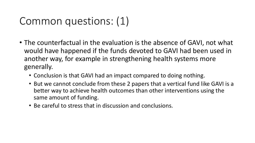#### Common questions: (1)

- The counterfactual in the evaluation is the absence of GAVI, not what would have happened if the funds devoted to GAVI had been used in another way, for example in strengthening health systems more generally.
	- Conclusion is that GAVI had an impact compared to doing nothing.
	- But we cannot conclude from these 2 papers that a vertical fund like GAVI is a better way to achieve health outcomes than other interventions using the same amount of funding.
	- Be careful to stress that in discussion and conclusions.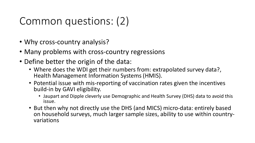### Common questions: (2)

- Why cross-country analysis?
- Many problems with cross-country regressions
- Define better the origin of the data:
	- Where does the WDI get their numbers from: extrapolated survey data?, Health Management Information Systems (HMIS).
	- Potential issue with mis-reporting of vaccination rates given the incentives build-in by GAVI eligibility.
		- Jaupart and Dipple cleverly use Demographic and Health Survey (DHS) data to avoid this issue.
	- But then why not directly use the DHS (and MICS) micro-data: entirely based on household surveys, much larger sample sizes, ability to use within country- variations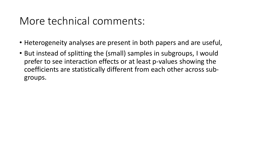#### More technical comments:

- Heterogeneity analyses are present in both papers and are useful,
- But instead of splitting the (small) samples in subgroups, I would prefer to see interaction effects or at least p-values showing the coefficients are statistically different from each other across subgroups.